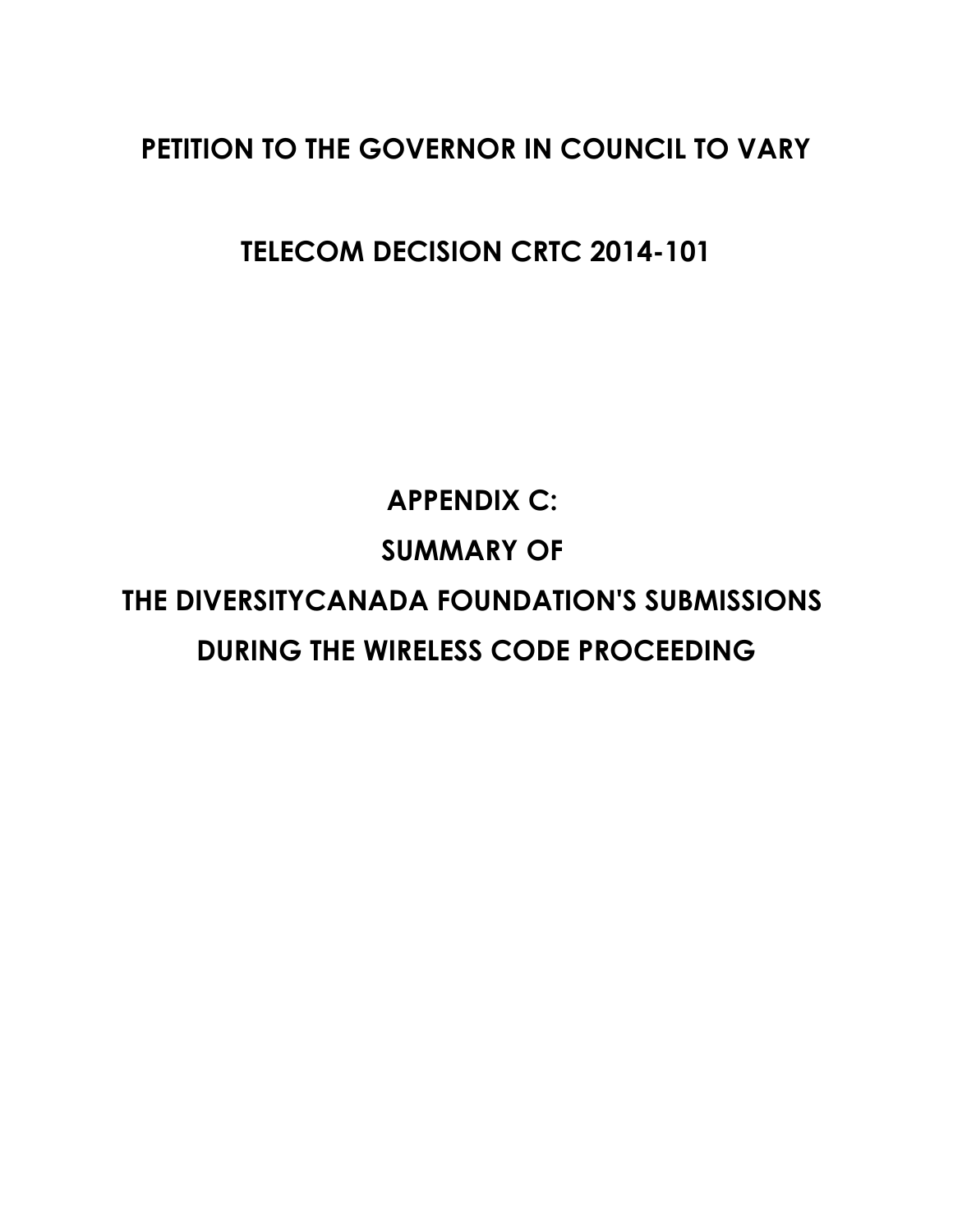## **PETITION TO THE GOVERNOR IN COUNCIL TO VARY**

**TELECOM DECISION CRTC 2014-101**

**APPENDIX C: SUMMARY OF THE DIVERSITYCANADA FOUNDATION'S SUBMISSIONS DURING THE WIRELESS CODE PROCEEDING**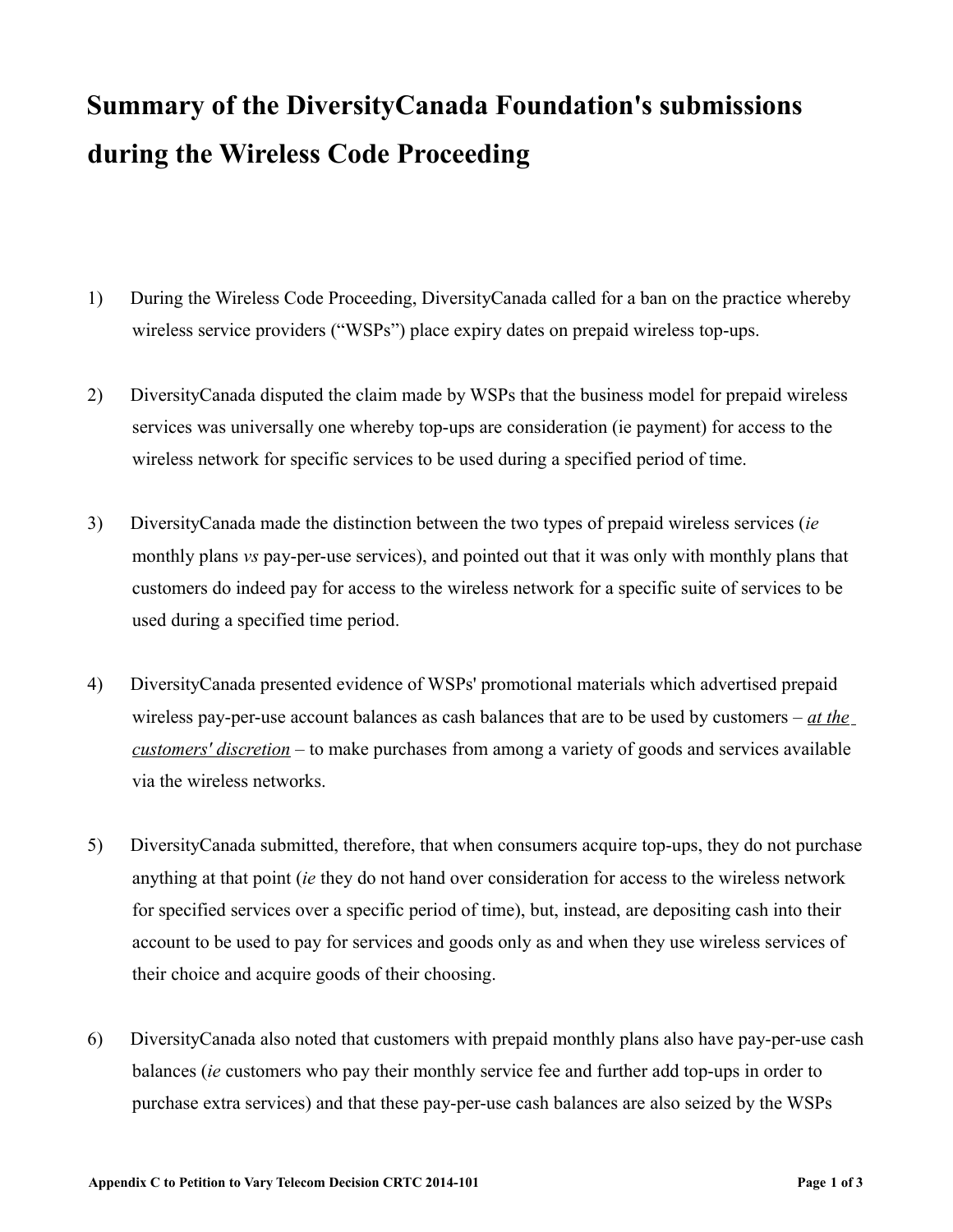## **Summary of the DiversityCanada Foundation's submissions during the Wireless Code Proceeding**

- 1) During the Wireless Code Proceeding, DiversityCanada called for a ban on the practice whereby wireless service providers ("WSPs") place expiry dates on prepaid wireless top-ups.
- 2) DiversityCanada disputed the claim made by WSPs that the business model for prepaid wireless services was universally one whereby top-ups are consideration (ie payment) for access to the wireless network for specific services to be used during a specified period of time.
- 3) DiversityCanada made the distinction between the two types of prepaid wireless services (*ie* monthly plans *vs* pay-per-use services), and pointed out that it was only with monthly plans that customers do indeed pay for access to the wireless network for a specific suite of services to be used during a specified time period.
- 4) DiversityCanada presented evidence of WSPs' promotional materials which advertised prepaid wireless pay-per-use account balances as cash balances that are to be used by customers – *at the customers' discretion* – to make purchases from among a variety of goods and services available via the wireless networks.
- 5) DiversityCanada submitted, therefore, that when consumers acquire top-ups, they do not purchase anything at that point (*ie* they do not hand over consideration for access to the wireless network for specified services over a specific period of time), but, instead, are depositing cash into their account to be used to pay for services and goods only as and when they use wireless services of their choice and acquire goods of their choosing.
- 6) DiversityCanada also noted that customers with prepaid monthly plans also have pay-per-use cash balances (*ie* customers who pay their monthly service fee and further add top-ups in order to purchase extra services) and that these pay-per-use cash balances are also seized by the WSPs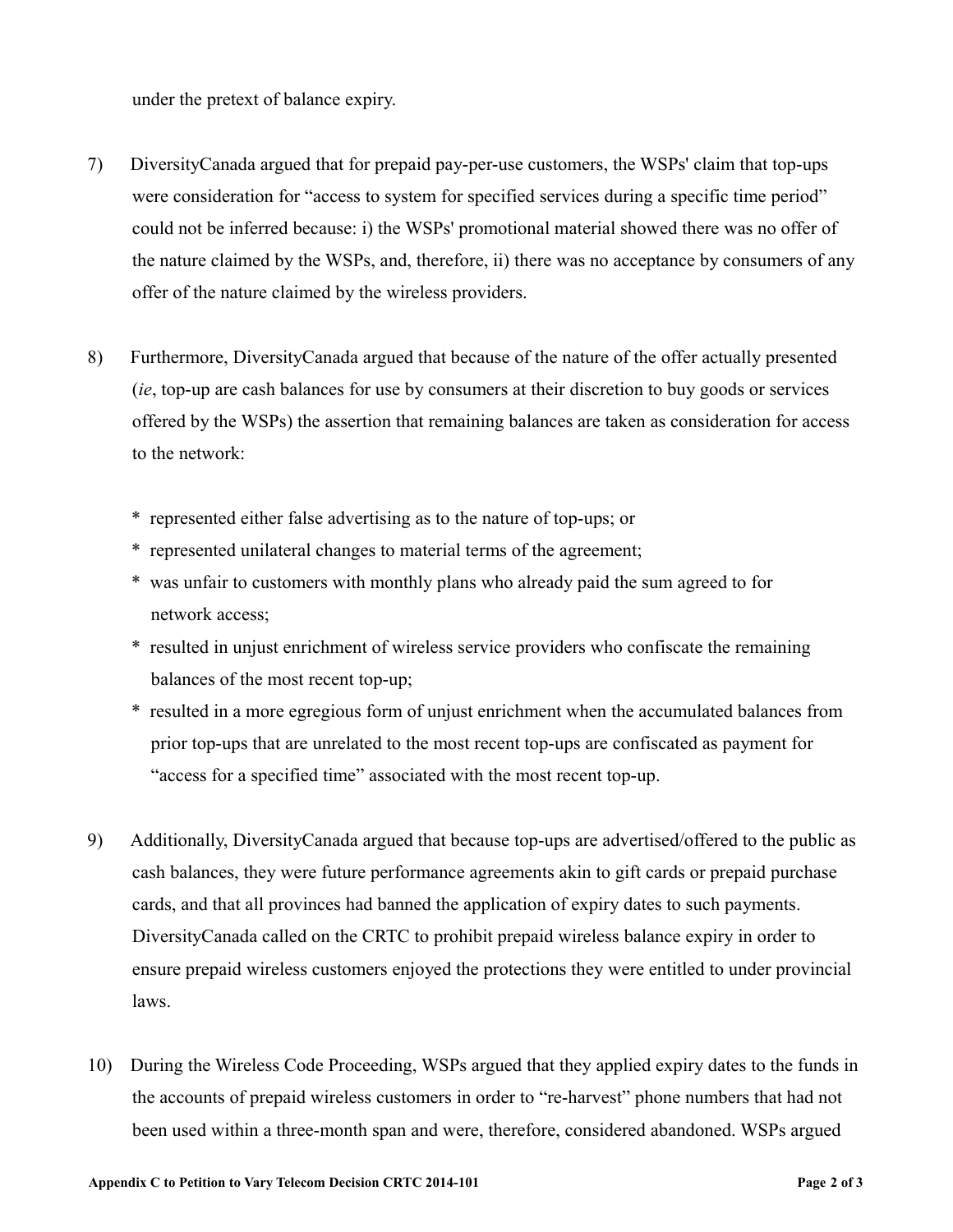under the pretext of balance expiry.

- 7) DiversityCanada argued that for prepaid pay-per-use customers, the WSPs' claim that top-ups were consideration for "access to system for specified services during a specific time period" could not be inferred because: i) the WSPs' promotional material showed there was no offer of the nature claimed by the WSPs, and, therefore, ii) there was no acceptance by consumers of any offer of the nature claimed by the wireless providers.
- 8) Furthermore, DiversityCanada argued that because of the nature of the offer actually presented (*ie*, top-up are cash balances for use by consumers at their discretion to buy goods or services offered by the WSPs) the assertion that remaining balances are taken as consideration for access to the network:
	- \* represented either false advertising as to the nature of top-ups; or
	- \* represented unilateral changes to material terms of the agreement;
	- \* was unfair to customers with monthly plans who already paid the sum agreed to for network access;
	- \* resulted in unjust enrichment of wireless service providers who confiscate the remaining balances of the most recent top-up;
	- \* resulted in a more egregious form of unjust enrichment when the accumulated balances from prior top-ups that are unrelated to the most recent top-ups are confiscated as payment for "access for a specified time" associated with the most recent top-up.
- 9) Additionally, DiversityCanada argued that because top-ups are advertised/offered to the public as cash balances, they were future performance agreements akin to gift cards or prepaid purchase cards, and that all provinces had banned the application of expiry dates to such payments. DiversityCanada called on the CRTC to prohibit prepaid wireless balance expiry in order to ensure prepaid wireless customers enjoyed the protections they were entitled to under provincial laws.
- 10) During the Wireless Code Proceeding, WSPs argued that they applied expiry dates to the funds in the accounts of prepaid wireless customers in order to "re-harvest" phone numbers that had not been used within a three-month span and were, therefore, considered abandoned. WSPs argued